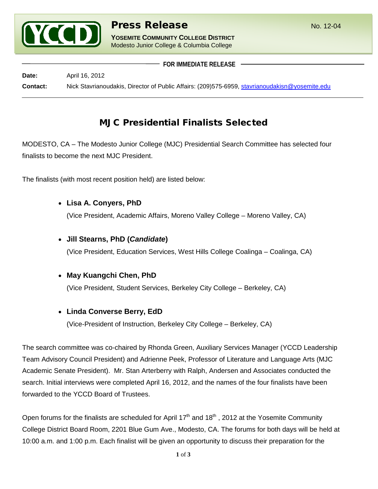

**YOSEMITE COMMUNITY COLLEGE DISTRICT** Modesto Junior College & Columbia College

 **FOR IMMEDIATE RELEASE Date:** April 16, 2012 **Contact:** Nick Stavrianoudakis, Director of Public Affairs: (209)575-6959, [stavrianoudakisn@yosemite.edu](mailto:stavrianoudakisn@yosemite.edu)

# MJC Presidential Finalists Selected

MODESTO, CA – The Modesto Junior College (MJC) Presidential Search Committee has selected four finalists to become the next MJC President.

The finalists (with most recent position held) are listed below:

• **Lisa A. Conyers, PhD**

(Vice President, Academic Affairs, Moreno Valley College – Moreno Valley, CA)

## • **Jill Stearns, PhD (***Candidate***)**

(Vice President, Education Services, West Hills College Coalinga – Coalinga, CA)

## • **May Kuangchi Chen, PhD**

(Vice President, Student Services, Berkeley City College – Berkeley, CA)

## • **Linda Converse Berry, EdD**

(Vice-President of Instruction, Berkeley City College – Berkeley, CA)

The search committee was co-chaired by Rhonda Green, Auxiliary Services Manager (YCCD Leadership Team Advisory Council President) and Adrienne Peek, Professor of Literature and Language Arts (MJC Academic Senate President). Mr. Stan Arterberry with Ralph, Andersen and Associates conducted the search. Initial interviews were completed April 16, 2012, and the names of the four finalists have been forwarded to the YCCD Board of Trustees.

Open forums for the finalists are scheduled for April  $17<sup>th</sup>$  and  $18<sup>th</sup>$ , 2012 at the Yosemite Community College District Board Room, 2201 Blue Gum Ave., Modesto, CA. The forums for both days will be held at 10:00 a.m. and 1:00 p.m. Each finalist will be given an opportunity to discuss their preparation for the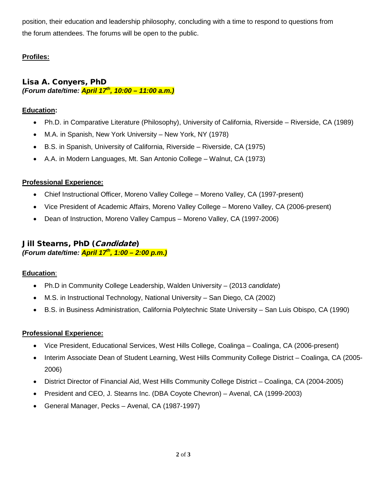position, their education and leadership philosophy, concluding with a time to respond to questions from the forum attendees. The forums will be open to the public.

## **Profiles:**

Lisa A. Conyers, PhD *(Forum date/time: April 17th, 10:00 – 11:00 a.m.)*

#### **Education:**

- Ph.D. in Comparative Literature (Philosophy), University of California, Riverside Riverside, CA (1989)
- M.A. in Spanish, New York University New York, NY (1978)
- B.S. in Spanish, University of California, Riverside Riverside, CA (1975)
- A.A. in Modern Languages, Mt. San Antonio College Walnut, CA (1973)

#### **Professional Experience:**

- Chief Instructional Officer, Moreno Valley College Moreno Valley, CA (1997-present)
- Vice President of Academic Affairs, Moreno Valley College Moreno Valley, CA (2006-present)
- Dean of Instruction, Moreno Valley Campus Moreno Valley, CA (1997-2006)

## Jill Stearns, PhD (Candidate) *(Forum date/time: April 17th, 1:00 – 2:00 p.m.)*

#### **Education**:

- Ph.D in Community College Leadership, Walden University (2013 *candidate*)
- M.S. in Instructional Technology, National University San Diego, CA (2002)
- B.S. in Business Administration, California Polytechnic State University San Luis Obispo, CA (1990)

#### **Professional Experience:**

- Vice President, Educational Services, West Hills College, Coalinga Coalinga, CA (2006-present)
- Interim Associate Dean of Student Learning, West Hills Community College District Coalinga, CA (2005- 2006)
- District Director of Financial Aid, West Hills Community College District Coalinga, CA (2004-2005)
- President and CEO, J. Stearns Inc. (DBA Coyote Chevron) Avenal, CA (1999-2003)
- General Manager, Pecks Avenal, CA (1987-1997)